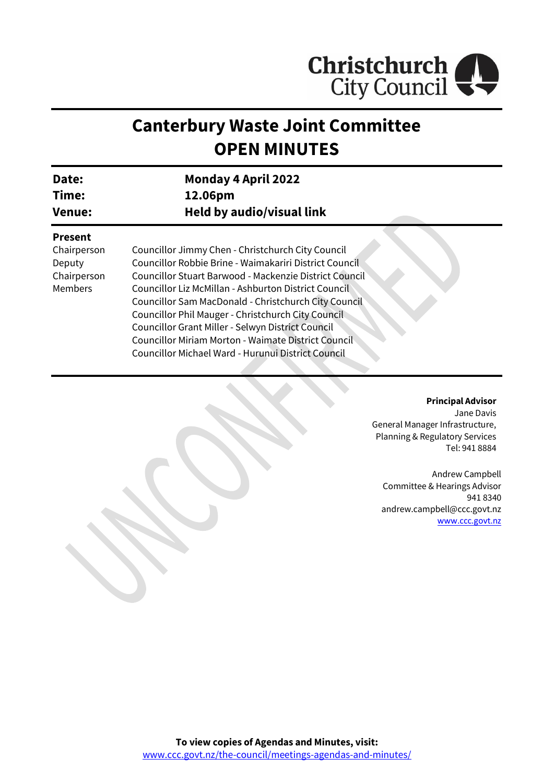

# **Canterbury Waste Joint Committee OPEN MINUTES**

| <b>Date:</b> | <b>Monday 4 April 2022</b> |
|--------------|----------------------------|
| Time:        | 12.06pm                    |
| Venue:       | Held by audio/visual link  |

#### **Present**

Chairperson Deputy Chairperson Members

Councillor Jimmy Chen - Christchurch City Council Councillor Robbie Brine - Waimakariri District Council Councillor Stuart Barwood - Mackenzie District Council Councillor Liz McMillan - Ashburton District Council Councillor Sam MacDonald - Christchurch City Council Councillor Phil Mauger - Christchurch City Council Councillor Grant Miller - Selwyn District Council Councillor Miriam Morton - Waimate District Council Councillor Michael Ward - Hurunui District Council

#### **Principal Advisor**

Jane Davis General Manager Infrastructure, Planning & Regulatory Services Tel: 941 8884

Andrew Campbell Committee & Hearings Advisor 941 8340 andrew.campbell@ccc.govt.nz [www.ccc.govt.nz](http://www.ccc.govt.nz/)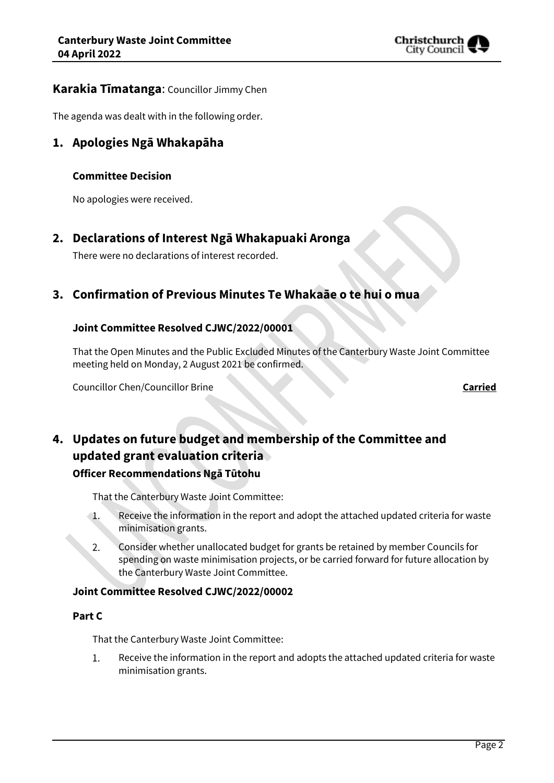

## **Karakia Tīmatanga**: Councillor Jimmy Chen

The agenda was dealt with in the following order.

## **1. Apologies Ngā Whakapāha**

#### **Committee Decision**

No apologies were received.

## **2. Declarations of Interest Ngā Whakapuaki Aronga**

There were no declarations of interest recorded.

## **3. Confirmation of Previous Minutes Te Whakaāe o te hui o mua**

## **Joint Committee Resolved CJWC/2022/00001**

That the Open Minutes and the Public Excluded Minutes of the Canterbury Waste Joint Committee meeting held on Monday, 2 August 2021 be confirmed.

Councillor Chen/Councillor Brine **Carried**

## **4. Updates on future budget and membership of the Committee and updated grant evaluation criteria Officer Recommendations Ngā Tūtohu**

That the Canterbury Waste Joint Committee:

- Receive the information in the report and adopt the attached updated criteria for waste  $\mathbf{1}$ . minimisation grants.
- Consider whether unallocated budget for grants be retained by member Councils for 2. spending on waste minimisation projects, or be carried forward for future allocation by the Canterbury Waste Joint Committee.

#### **Joint Committee Resolved CJWC/2022/00002**

#### **Part C**

That the Canterbury Waste Joint Committee:

 $1<sup>1</sup>$ Receive the information in the report and adopts the attached updated criteria for waste minimisation grants.